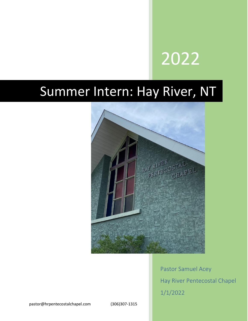# 2022

## Summer Intern: Hay River, NT



Pastor Samuel Acey Hay River Pentecostal Chapel 1/1/2022

pastor@hrpentecostalchapel.com (306)307-1315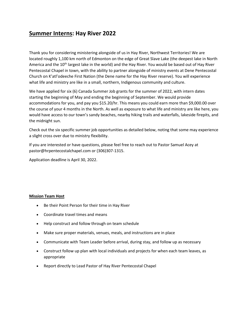### **Summer Interns: Hay River 2022**

Thank you for considering ministering alongside of us in Hay River, Northwest Territories! We are located roughly 1,100 km north of Edmonton on the edge of Great Slave Lake (the deepest lake in North America and the  $10<sup>th</sup>$  largest lake in the world) and the Hay River. You would be based out of Hay River Pentecostal Chapel in town, with the ability to partner alongside of ministry events at Dene Pentecostal Church on K'atl'odeeche First Nation (the Dene name for the Hay River reserve). You will experience what life and ministry are like in a small, northern, Indigenous community and culture.

We have applied for six (6) Canada Summer Job grants for the summer of 2022, with intern dates starting the beginning of May and ending the beginning of September. We would provide accommodations for you, and pay you \$15.20/hr. This means you could earn more than \$9,000.00 over the course of your 4 months in the North. As well as exposure to what life and ministry are like here, you would have access to our town's sandy beaches, nearby hiking trails and waterfalls, lakeside firepits, and the midnight sun.

Check out the six specific summer job opportunities as detailed below, noting that some may experience a slight cross over due to ministry flexibility.

If you are interested or have questions, please feel free to reach out to Pastor Samuel Acey at pastor@hrpentecostalchapel.com or (306)307-1315.

Application deadline is April 30, 2022.

#### **Mission Team Host**

- Be their Point Person for their time in Hay River
- Coordinate travel times and means
- Help construct and follow through on team schedule
- Make sure proper materials, venues, meals, and instructions are in place
- Communicate with Team Leader before arrival, during stay, and follow up as necessary
- Construct follow up plan with local individuals and projects for when each team leaves, as appropriate
- Report directly to Lead Pastor of Hay River Pentecostal Chapel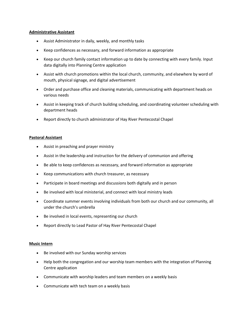#### **Administrative Assistant**

- Assist Administrator in daily, weekly, and monthly tasks
- Keep confidences as necessary, and forward information as appropriate
- Keep our church family contact information up to date by connecting with every family. Input data digitally into Planning Centre application
- Assist with church promotions within the local church, community, and elsewhere by word of mouth, physical signage, and digital advertisement
- Order and purchase office and cleaning materials, communicating with department heads on various needs
- Assist in keeping track of church building scheduling, and coordinating volunteer scheduling with department heads
- Report directly to church administrator of Hay River Pentecostal Chapel

#### **Pastoral Assistant**

- Assist in preaching and prayer ministry
- Assist in the leadership and instruction for the delivery of communion and offering
- Be able to keep confidences as necessary, and forward information as appropriate
- Keep communications with church treasurer, as necessary
- Participate in board meetings and discussions both digitally and in person
- Be involved with local ministerial, and connect with local ministry leads
- Coordinate summer events involving individuals from both our church and our community, all under the church's umbrella
- Be involved in local events, representing our church
- Report directly to Lead Pastor of Hay River Pentecostal Chapel

#### **Music Intern**

- Be involved with our Sunday worship services
- Help both the congregation and our worship team members with the integration of Planning Centre application
- Communicate with worship leaders and team members on a weekly basis
- Communicate with tech team on a weekly basis